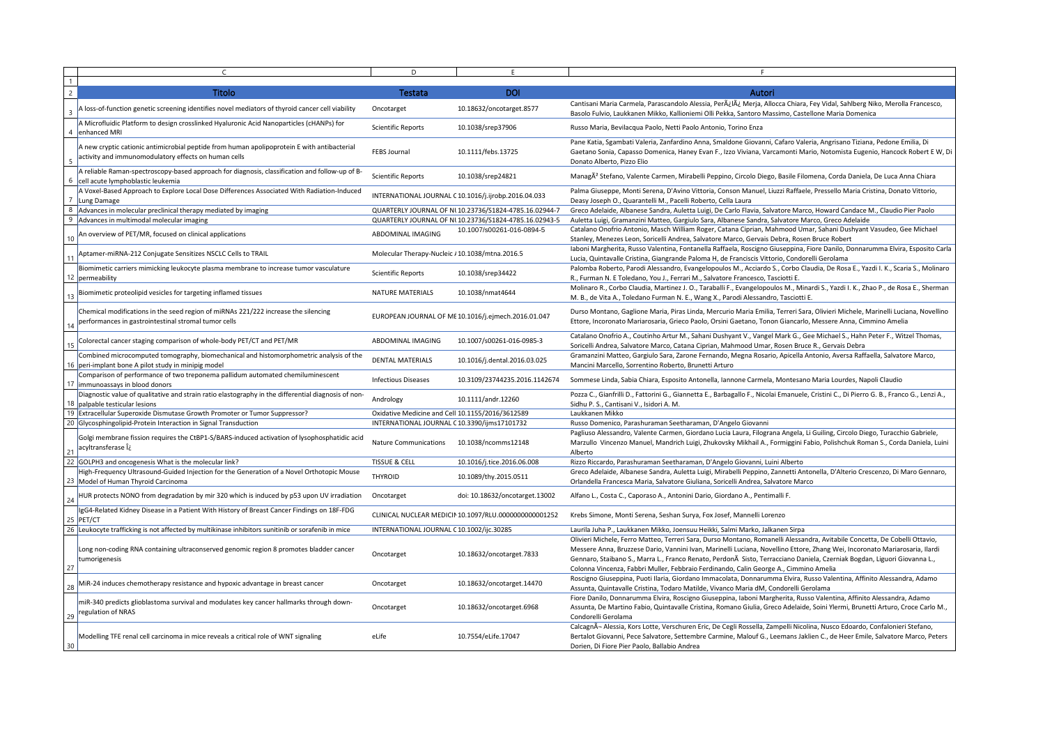|             |                                                                                                                                                     | D.                                               |                                                        |                                                                                                                                                                                                                                                                                                                                                  |
|-------------|-----------------------------------------------------------------------------------------------------------------------------------------------------|--------------------------------------------------|--------------------------------------------------------|--------------------------------------------------------------------------------------------------------------------------------------------------------------------------------------------------------------------------------------------------------------------------------------------------------------------------------------------------|
|             | Titolo                                                                                                                                              | Testata                                          | <b>DOI</b>                                             | Autori                                                                                                                                                                                                                                                                                                                                           |
|             | A loss-of-function genetic screening identifies novel mediators of thyroid cancer cell viability                                                    | Oncotarget                                       | 10.18632/oncotarget.8577                               | Cantisani Maria Carmela, Parascandolo Alessia, Perÿlÿ Merja, Allocca Chiara, Fey Vidal, Sahlberg Niko, Merolla Francesco,<br>Basolo Fulvio, Laukkanen Mikko, Kallioniemi Olli Pekka, Santoro Massimo, Castellone Maria Domenica                                                                                                                  |
| 4           | A Microfluidic Platform to design crosslinked Hyaluronic Acid Nanoparticles (cHANPs) for<br>enhanced MRI                                            | <b>Scientific Reports</b>                        | 10.1038/srep37906                                      | Russo Maria, Bevilacqua Paolo, Netti Paolo Antonio, Torino Enza                                                                                                                                                                                                                                                                                  |
|             | A new cryptic cationic antimicrobial peptide from human apolipoprotein E with antibacterial<br>activity and immunomodulatory effects on human cells | <b>FEBS Journal</b>                              | 10.1111/febs.13725                                     | Pane Katia, Sgambati Valeria, Zanfardino Anna, Smaldone Giovanni, Cafaro Valeria, Angrisano Tiziana, Pedone Emilia, Di<br>Gaetano Sonia, Capasso Domenica, Haney Evan F., Izzo Viviana, Varcamonti Mario, Notomista Eugenio, Hancock Robert E W, Di<br>Donato Alberto, Pizzo Elio                                                                |
|             | A reliable Raman-spectroscopy-based approach for diagnosis, classification and follow-up of B-<br>cell acute lymphoblastic leukemia                 | <b>Scientific Reports</b>                        | 10.1038/srep24821                                      | ManagÃ <sup>2</sup> Stefano, Valente Carmen, Mirabelli Peppino, Circolo Diego, Basile Filomena, Corda Daniela, De Luca Anna Chiara                                                                                                                                                                                                               |
|             | A Voxel-Based Approach to Explore Local Dose Differences Associated With Radiation-Induced<br>Lung Damage                                           |                                                  | INTERNATIONAL JOURNAL C 10.1016/j.ijrobp.2016.04.033   | Palma Giuseppe, Monti Serena, D'Avino Vittoria, Conson Manuel, Liuzzi Raffaele, Pressello Maria Cristina, Donato Vittorio,<br>Deasy Joseph O., Quarantelli M., Pacelli Roberto, Cella Laura                                                                                                                                                      |
|             | Advances in molecular preclinical therapy mediated by imaging                                                                                       |                                                  | QUARTERLY JOURNAL OF NI 10.23736/S1824-4785.16.02944-7 | Greco Adelaide, Albanese Sandra, Auletta Luigi, De Carlo Flavia, Salvatore Marco, Howard Candace M., Claudio Pier Paolo                                                                                                                                                                                                                          |
| - 9         | Advances in multimodal molecular imaging                                                                                                            |                                                  | QUARTERLY JOURNAL OF NI 10.23736/S1824-4785.16.02943-5 | Auletta Luigi, Gramanzini Matteo, Gargiulo Sara, Albanese Sandra, Salvatore Marco, Greco Adelaide                                                                                                                                                                                                                                                |
| 10          | An overview of PET/MR, focused on clinical applications                                                                                             | ABDOMINAL IMAGING                                | 10.1007/s00261-016-0894-5                              | Catalano Onofrio Antonio, Masch William Roger, Catana Ciprian, Mahmood Umar, Sahani Dushyant Vasudeo, Gee Michael<br>Stanley, Menezes Leon, Soricelli Andrea, Salvatore Marco, Gervais Debra, Rosen Bruce Robert                                                                                                                                 |
| $1^{\circ}$ | Aptamer-miRNA-212 Conjugate Sensitizes NSCLC Cells to TRAIL                                                                                         | Molecular Therapy-Nucleic / 10.1038/mtna.2016.5  |                                                        | Iaboni Margherita, Russo Valentina, Fontanella Raffaela, Roscigno Giuseppina, Fiore Danilo, Donnarumma Elvira, Esposito Carla<br>Lucia, Quintavalle Cristina, Giangrande Paloma H, de Franciscis Vittorio, Condorelli Gerolama                                                                                                                   |
|             | Biomimetic carriers mimicking leukocyte plasma membrane to increase tumor vasculature<br>12   permeability                                          | <b>Scientific Reports</b>                        | 10.1038/srep34422                                      | Palomba Roberto, Parodi Alessandro, Evangelopoulos M., Acciardo S., Corbo Claudia, De Rosa E., Yazdi I. K., Scaria S., Molinaro<br>R., Furman N. E Toledano, You J., Ferrari M., Salvatore Francesco, Tasciotti E.                                                                                                                               |
|             | Biomimetic proteolipid vesicles for targeting inflamed tissues                                                                                      | <b>NATURE MATERIALS</b>                          | 10.1038/nmat4644                                       | Molinaro R., Corbo Claudia, Martinez J. O., Taraballi F., Evangelopoulos M., Minardi S., Yazdi I. K., Zhao P., de Rosa E., Sherman<br>M. B., de Vita A., Toledano Furman N. E., Wang X., Parodi Alessandro, Tasciotti E.                                                                                                                         |
|             | Chemical modifications in the seed region of miRNAs 221/222 increase the silencing<br>performances in gastrointestinal stromal tumor cells          |                                                  | EUROPEAN JOURNAL OF ME 10.1016/j.ejmech.2016.01.047    | Durso Montano, Gaglione Maria, Piras Linda, Mercurio Maria Emilia, Terreri Sara, Olivieri Michele, Marinelli Luciana, Novellino<br>Ettore, Incoronato Mariarosaria, Grieco Paolo, Orsini Gaetano, Tonon Giancarlo, Messere Anna, Cimmino Amelia                                                                                                  |
| 15          | Colorectal cancer staging comparison of whole-body PET/CT and PET/MR                                                                                | ABDOMINAL IMAGING                                | 10.1007/s00261-016-0985-3                              | Catalano Onofrio A., Coutinho Artur M., Sahani Dushyant V., Vangel Mark G., Gee Michael S., Hahn Peter F., Witzel Thomas,<br>Soricelli Andrea, Salvatore Marco, Catana Ciprian, Mahmood Umar, Rosen Bruce R., Gervais Debra                                                                                                                      |
|             | Combined microcomputed tomography, biomechanical and histomorphometric analysis of the<br>16   peri-implant bone A pilot study in minipig model     | <b>DENTAL MATERIALS</b>                          | 10.1016/j.dental.2016.03.025                           | Gramanzini Matteo, Gargiulo Sara, Zarone Fernando, Megna Rosario, Apicella Antonio, Aversa Raffaella, Salvatore Marco,<br>Mancini Marcello, Sorrentino Roberto, Brunetti Arturo                                                                                                                                                                  |
|             | Comparison of performance of two treponema pallidum automated chemiluminescent<br>immunoassays in blood donors                                      | <b>Infectious Diseases</b>                       | 10.3109/23744235.2016.1142674                          | Sommese Linda, Sabia Chiara, Esposito Antonella, Iannone Carmela, Montesano Maria Lourdes, Napoli Claudio                                                                                                                                                                                                                                        |
|             | Diagnostic value of qualitative and strain ratio elastography in the differential diagnosis of non-<br>18   palpable testicular lesions             | Andrology                                        | 10.1111/andr.12260                                     | Pozza C., Gianfrilli D., Fattorini G., Giannetta E., Barbagallo F., Nicolai Emanuele, Cristini C., Di Pierro G. B., Franco G., Lenzi A.,<br>Sidhu P. S., Cantisani V., Isidori A. M.                                                                                                                                                             |
|             | 19 Extracellular Superoxide Dismutase Growth Promoter or Tumor Suppressor?                                                                          | Oxidative Medicine and Cell 10.1155/2016/3612589 |                                                        | Laukkanen Mikko                                                                                                                                                                                                                                                                                                                                  |
|             | 20 Glycosphingolipid-Protein Interaction in Signal Transduction                                                                                     | INTERNATIONAL JOURNAL C 10.3390/ijms17101732     |                                                        | Russo Domenico, Parashuraman Seetharaman, D'Angelo Giovanni                                                                                                                                                                                                                                                                                      |
| $2^{\cdot}$ | Golgi membrane fission requires the CtBP1-S/BARS-induced activation of lysophosphatidic acid<br>acyltransferase ο                                   | <b>Nature Communications</b>                     | 10.1038/ncomms12148                                    | Pagliuso Alessandro, Valente Carmen, Giordano Lucia Laura, Filograna Angela, Li Guiling, Circolo Diego, Turacchio Gabriele,<br>Marzullo Vincenzo Manuel, Mandrich Luigi, Zhukovsky Mikhail A., Formiggini Fabio, Polishchuk Roman S., Corda Daniela, Luini<br>Alberto                                                                            |
|             | 22 GOLPH3 and oncogenesis What is the molecular link?                                                                                               | <b>TISSUE &amp; CELL</b>                         | 10.1016/j.tice.2016.06.008                             | Rizzo Riccardo, Parashuraman Seetharaman, D'Angelo Giovanni, Luini Alberto                                                                                                                                                                                                                                                                       |
|             | High-Frequency Ultrasound-Guided Injection for the Generation of a Novel Orthotopic Mouse<br>23 Model of Human Thyroid Carcinoma                    | <b>THYROID</b>                                   | 10.1089/thy.2015.0511                                  | Greco Adelaide, Albanese Sandra, Auletta Luigi, Mirabelli Peppino, Zannetti Antonella, D'Alterio Crescenzo, Di Maro Gennaro,<br>Orlandella Francesca Maria, Salvatore Giuliana, Soricelli Andrea, Salvatore Marco                                                                                                                                |
| 24          | HUR protects NONO from degradation by mir 320 which is induced by p53 upon UV irradiation                                                           | Oncotarget                                       | doi: 10.18632/oncotarget.13002                         | Alfano L., Costa C., Caporaso A., Antonini Dario, Giordano A., Pentimalli F.                                                                                                                                                                                                                                                                     |
|             | IgG4-Related Kidney Disease in a Patient With History of Breast Cancer Findings on 18F-FDG<br>$25$  PET/CT                                          |                                                  | CLINICAL NUCLEAR MEDICIN 10.1097/RLU.00000000000001252 | Krebs Simone, Monti Serena, Seshan Surya, Fox Josef, Mannelli Lorenzo                                                                                                                                                                                                                                                                            |
|             | 26 Leukocyte trafficking is not affected by multikinase inhibitors sunitinib or sorafenib in mice                                                   | INTERNATIONAL JOURNAL C 10.1002/ijc.30285        |                                                        | Laurila Juha P., Laukkanen Mikko, Joensuu Heikki, Salmi Marko, Jalkanen Sirpa                                                                                                                                                                                                                                                                    |
|             |                                                                                                                                                     |                                                  |                                                        | Olivieri Michele, Ferro Matteo, Terreri Sara, Durso Montano, Romanelli Alessandra, Avitabile Concetta, De Cobelli Ottavio,                                                                                                                                                                                                                       |
| 27          | Long non-coding RNA containing ultraconserved genomic region 8 promotes bladder cancer<br>tumorigenesis                                             | Oncotarget                                       | 10.18632/oncotarget.7833                               | Messere Anna, Bruzzese Dario, Vannini Ivan, Marinelli Luciana, Novellino Ettore, Zhang Wei, Incoronato Mariarosaria, Ilardi<br>Gennaro, Staibano S., Marra L., Franco Renato, Perdonà Sisto, Terracciano Daniela, Czerniak Bogdan, Liguori Giovanna L.,<br>Colonna Vincenza, Fabbri Muller, Febbraio Ferdinando, Calin George A., Cimmino Amelia |
| 28          | MiR-24 induces chemotherapy resistance and hypoxic advantage in breast cancer                                                                       | Oncotarget                                       | 10.18632/oncotarget.14470                              | Roscigno Giuseppina, Puoti Ilaria, Giordano Immacolata, Donnarumma Elvira, Russo Valentina, Affinito Alessandra, Adamo<br>Assunta, Quintavalle Cristina, Todaro Matilde, Vivanco Maria dM, Condorelli Gerolama                                                                                                                                   |
| 29          | miR-340 predicts glioblastoma survival and modulates key cancer hallmarks through down-<br>regulation of NRAS                                       | Oncotarget                                       | 10.18632/oncotarget.6968                               | Fiore Danilo, Donnarumma Elvira, Roscigno Giuseppina, Iaboni Margherita, Russo Valentina, Affinito Alessandra, Adamo<br>Assunta, De Martino Fabio, Quintavalle Cristina, Romano Giulia, Greco Adelaide, Soini Ylermi, Brunetti Arturo, Croce Carlo M.,<br>Condorelli Gerolama                                                                    |
| 30          | Modelling TFE renal cell carcinoma in mice reveals a critical role of WNT signaling                                                                 | eLife                                            | 10.7554/eLife.17047                                    | CalcagnÃ- Alessia, Kors Lotte, Verschuren Eric, De Cegli Rossella, Zampelli Nicolina, Nusco Edoardo, Confalonieri Stefano,<br>Bertalot Giovanni, Pece Salvatore, Settembre Carmine, Malouf G., Leemans Jaklien C., de Heer Emile, Salvatore Marco, Peters<br>Dorien, Di Fiore Pier Paolo, Ballabio Andrea                                        |
|             |                                                                                                                                                     |                                                  |                                                        |                                                                                                                                                                                                                                                                                                                                                  |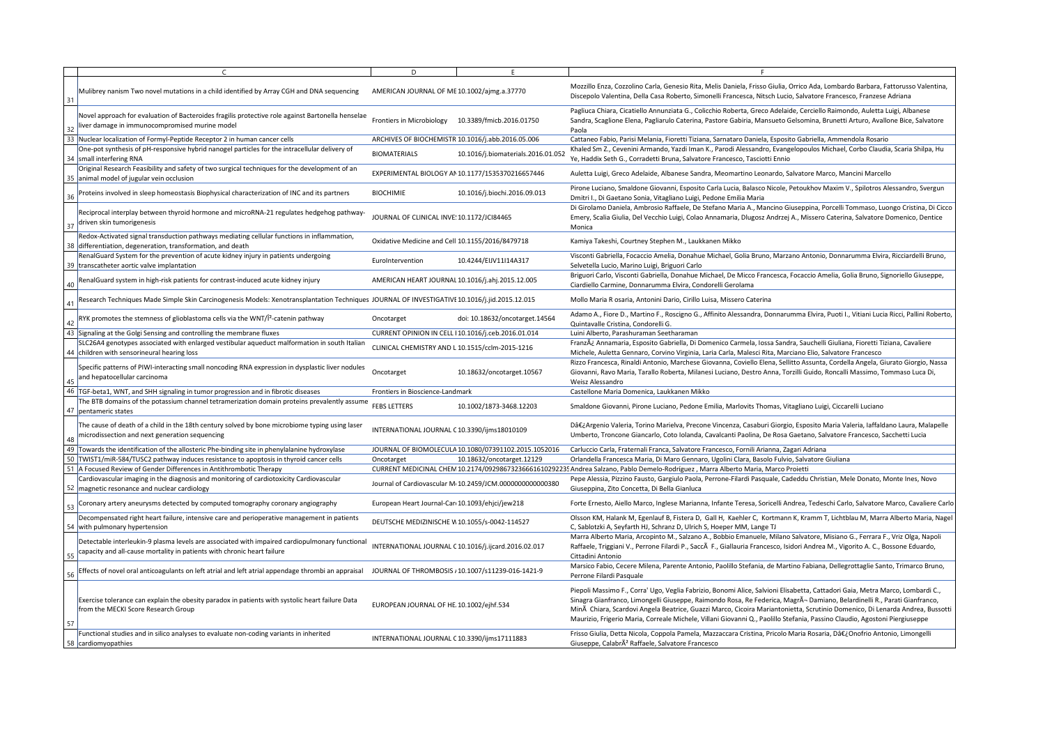|    |                                                                                                                                                                           | D                                                   |                                                          |                                                                                                                                                                                                                                                                                                                                                                                                                                                                                                                       |
|----|---------------------------------------------------------------------------------------------------------------------------------------------------------------------------|-----------------------------------------------------|----------------------------------------------------------|-----------------------------------------------------------------------------------------------------------------------------------------------------------------------------------------------------------------------------------------------------------------------------------------------------------------------------------------------------------------------------------------------------------------------------------------------------------------------------------------------------------------------|
| 31 | Mulibrey nanism Two novel mutations in a child identified by Array CGH and DNA sequencing                                                                                 | AMERICAN JOURNAL OF ME 10.1002/ajmg.a.37770         |                                                          | Mozzillo Enza, Cozzolino Carla, Genesio Rita, Melis Daniela, Frisso Giulia, Orrico Ada, Lombardo Barbara, Fattorusso Valentina,<br>Discepolo Valentina, Della Casa Roberto, Simonelli Francesca, Nitsch Lucio, Salvatore Francesco, Franzese Adriana                                                                                                                                                                                                                                                                  |
| 32 | Novel approach for evaluation of Bacteroides fragilis protective role against Bartonella henselae<br>liver damage in immunocompromised murine model                       | <b>Frontiers in Microbiology</b>                    | 10.3389/fmicb.2016.01750                                 | Pagliuca Chiara, Cicatiello Annunziata G., Colicchio Roberta, Greco Adelaide, Cerciello Raimondo, Auletta Luigi, Albanese<br>Sandra, Scaglione Elena, Pagliarulo Caterina, Pastore Gabiria, Mansueto Gelsomina, Brunetti Arturo, Avallone Bice, Salvatore<br>Paola                                                                                                                                                                                                                                                    |
| 33 | Nuclear localization of Formyl-Peptide Receptor 2 in human cancer cells                                                                                                   | ARCHIVES OF BIOCHEMISTR 10.1016/j.abb.2016.05.006   |                                                          | Cattaneo Fabio, Parisi Melania, Fioretti Tiziana, Sarnataro Daniela, Esposito Gabriella, Ammendola Rosario                                                                                                                                                                                                                                                                                                                                                                                                            |
|    | One-pot synthesis of pH-responsive hybrid nanogel particles for the intracellular delivery of<br>34   small interfering RNA                                               | <b>BIOMATERIALS</b>                                 | 10.1016/j.biomaterials.2016.01.052                       | Khaled Sm Z., Cevenini Armando, Yazdi Iman K., Parodi Alessandro, Evangelopoulos Michael, Corbo Claudia, Scaria Shilpa, Hu<br>Ye, Haddix Seth G., Corradetti Bruna, Salvatore Francesco, Tasciotti Ennio                                                                                                                                                                                                                                                                                                              |
|    | Original Research Feasibility and safety of two surgical techniques for the development of an<br>35   animal model of jugular vein occlusion                              |                                                     | EXPERIMENTAL BIOLOGY AN 10.1177/1535370216657446         | Auletta Luigi, Greco Adelaide, Albanese Sandra, Meomartino Leonardo, Salvatore Marco, Mancini Marcello                                                                                                                                                                                                                                                                                                                                                                                                                |
|    | Proteins involved in sleep homeostasis Biophysical characterization of INC and its partners                                                                               | <b>BIOCHIMIE</b>                                    | 10.1016/j.biochi.2016.09.013                             | Pirone Luciano, Smaldone Giovanni, Esposito Carla Lucia, Balasco Nicole, Petoukhov Maxim V., Spilotros Alessandro, Svergun<br>Dmitri I., Di Gaetano Sonia, Vitagliano Luigi, Pedone Emilia Maria                                                                                                                                                                                                                                                                                                                      |
|    | Reciprocal interplay between thyroid hormone and microRNA-21 regulates hedgehog pathway-<br>driven skin tumorigenesis                                                     | JOURNAL OF CLINICAL INVE: 10.1172/JCI84465          |                                                          | Di Girolamo Daniela, Ambrosio Raffaele, De Stefano Maria A., Mancino Giuseppina, Porcelli Tommaso, Luongo Cristina, Di Cicco<br>Emery, Scalia Giulia, Del Vecchio Luigi, Colao Annamaria, Dlugosz Andrzej A., Missero Caterina, Salvatore Domenico, Dentice<br>Monica                                                                                                                                                                                                                                                 |
|    | Redox-Activated signal transduction pathways mediating cellular functions in inflammation,<br>38 differentiation, degeneration, transformation, and death                 | Oxidative Medicine and Cell 10.1155/2016/8479718    |                                                          | Kamiya Takeshi, Courtney Stephen M., Laukkanen Mikko                                                                                                                                                                                                                                                                                                                                                                                                                                                                  |
|    | RenalGuard System for the prevention of acute kidney injury in patients undergoing<br>39   transcatheter aortic valve implantation                                        | EuroIntervention                                    | 10.4244/EIJV11I14A317                                    | Visconti Gabriella, Focaccio Amelia, Donahue Michael, Golia Bruno, Marzano Antonio, Donnarumma Elvira, Ricciardelli Bruno,<br>Selvetella Lucio, Marino Luigi, Briguori Carlo                                                                                                                                                                                                                                                                                                                                          |
| 40 | RenalGuard system in high-risk patients for contrast-induced acute kidney injury                                                                                          | AMERICAN HEART JOURNAL 10.1016/j.ahj.2015.12.005    |                                                          | Briguori Carlo, Visconti Gabriella, Donahue Michael, De Micco Francesca, Focaccio Amelia, Golia Bruno, Signoriello Giuseppe,<br>Ciardiello Carmine, Donnarumma Elvira, Condorelli Gerolama                                                                                                                                                                                                                                                                                                                            |
|    | Research Techniques Made Simple Skin Carcinogenesis Models: Xenotransplantation Techniques JOURNAL OF INVESTIGATIVI 10.1016/j.jid.2015.12.015                             |                                                     |                                                          | Mollo Maria R osaria, Antonini Dario, Cirillo Luisa, Missero Caterina                                                                                                                                                                                                                                                                                                                                                                                                                                                 |
|    | RYK promotes the stemness of glioblastoma cells via the WNT/Î <sup>2</sup> -catenin pathway                                                                               | Oncotarget                                          | doi: 10.18632/oncotarget.14564                           | Adamo A., Fiore D., Martino F., Roscigno G., Affinito Alessandra, Donnarumma Elvira, Puoti I., Vitiani Lucia Ricci, Pallini Robertc<br>Quintavalle Cristina, Condorelli G.                                                                                                                                                                                                                                                                                                                                            |
|    | 43 Signaling at the Golgi Sensing and controlling the membrane fluxes                                                                                                     | CURRENT OPINION IN CELL   10.1016/j.ceb.2016.01.014 |                                                          | Luini Alberto, Parashuraman Seetharaman                                                                                                                                                                                                                                                                                                                                                                                                                                                                               |
|    | SLC26A4 genotypes associated with enlarged vestibular aqueduct malformation in south Italian<br>44 children with sensorineural hearing loss                               | CLINICAL CHEMISTRY AND L 10.1515/cclm-2015-1216     |                                                          | Franzÿ Annamaria, Esposito Gabriella, Di Domenico Carmela, Iossa Sandra, Sauchelli Giuliana, Fioretti Tiziana, Cavaliere<br>Michele, Auletta Gennaro, Corvino Virginia, Laria Carla, Malesci Rita, Marciano Elio, Salvatore Francesco                                                                                                                                                                                                                                                                                 |
|    | Specific patterns of PIWI-interacting small noncoding RNA expression in dysplastic liver nodules<br>and hepatocellular carcinoma                                          | Oncotarget                                          | 10.18632/oncotarget.10567                                | Rizzo Francesca, Rinaldi Antonio, Marchese Giovanna, Coviello Elena, Sellitto Assunta, Cordella Angela, Giurato Giorgio, Nassa<br>Giovanni, Ravo Maria, Tarallo Roberta, Milanesi Luciano, Destro Anna, Torzilli Guido, Roncalli Massimo, Tommaso Luca Di,<br>Weisz Alessandro                                                                                                                                                                                                                                        |
|    | 46   TGF-beta1, WNT, and SHH signaling in tumor progression and in fibrotic diseases                                                                                      | Frontiers in Bioscience-Landmark                    |                                                          | Castellone Maria Domenica, Laukkanen Mikko                                                                                                                                                                                                                                                                                                                                                                                                                                                                            |
|    | The BTB domains of the potassium channel tetramerization domain proteins prevalently assume<br>47   pentameric states                                                     | <b>FEBS LETTERS</b>                                 | 10.1002/1873-3468.12203                                  | Smaldone Giovanni, Pirone Luciano, Pedone Emilia, Marlovits Thomas, Vitagliano Luigi, Ciccarelli Luciano                                                                                                                                                                                                                                                                                                                                                                                                              |
| 48 | The cause of death of a child in the 18th century solved by bone microbiome typing using laser<br>microdissection and next generation sequencing                          | INTERNATIONAL JOURNAL C 10.3390/ijms18010109        |                                                          | D‿Argenio Valeria, Torino Marielva, Precone Vincenza, Casaburi Giorgio, Esposito Maria Valeria, Iaffaldano Laura, Malapelle<br>Umberto, Troncone Giancarlo, Coto Iolanda, Cavalcanti Paolina, De Rosa Gaetano, Salvatore Francesco, Sacchetti Lucia                                                                                                                                                                                                                                                                   |
|    | 49 Towards the identification of the allosteric Phe-binding site in phenylalanine hydroxylase                                                                             |                                                     | JOURNAL OF BIOMOLECULA 10.1080/07391102.2015.1052016     | Carluccio Carla, Fraternali Franca, Salvatore Francesco, Fornili Arianna, Zagari Adriana                                                                                                                                                                                                                                                                                                                                                                                                                              |
|    | 50   TWIST1/miR-584/TUSC2 pathway induces resistance to apoptosis in thyroid cancer cells                                                                                 | Oncotarget                                          | 10.18632/oncotarget.12129                                | Orlandella Francesca Maria, Di Maro Gennaro, Ugolini Clara, Basolo Fulvio, Salvatore Giuliana                                                                                                                                                                                                                                                                                                                                                                                                                         |
| 51 | A Focused Review of Gender Differences in Antithrombotic Therapy                                                                                                          |                                                     | CURRENT MEDICINAL CHEM 10.2174/092986732366616102922     | 35 Andrea Salzano, Pablo Demelo-Rodríguez, Marra Alberto Maria, Marco Proietti                                                                                                                                                                                                                                                                                                                                                                                                                                        |
|    | Cardiovascular imaging in the diagnosis and monitoring of cardiotoxicity Cardiovascular<br>52 magnetic resonance and nuclear cardiology                                   |                                                     | Journal of Cardiovascular M 10.2459/JCM.0000000000000380 | Pepe Alessia, Pizzino Fausto, Gargiulo Paola, Perrone-Filardi Pasquale, Cadeddu Christian, Mele Donato, Monte Ines, Novo<br>Giuseppina, Zito Concetta, Di Bella Gianluca                                                                                                                                                                                                                                                                                                                                              |
| 53 | Coronary artery aneurysms detected by computed tomography coronary angiography                                                                                            | European Heart Journal-Car 10.1093/ehjci/jew218     |                                                          | Forte Ernesto, Aiello Marco, Inglese Marianna, Infante Teresa, Soricelli Andrea, Tedeschi Carlo, Salvatore Marco, Cavaliere Carl                                                                                                                                                                                                                                                                                                                                                                                      |
|    | Decompensated right heart failure, intensive care and perioperative management in patients<br>54 with pulmonary hypertension                                              | DEUTSCHE MEDIZINISCHE V 10.1055/s-0042-114527       |                                                          | Olsson KM, Halank M, Egenlauf B, Fistera D, Gall H, Kaehler C, Kortmann K, Kramm T, Lichtblau M, Marra Alberto Maria, Nage<br>C, Sablotzki A, Seyfarth HJ, Schranz D, Ulrich S, Hoeper MM, Lange TJ                                                                                                                                                                                                                                                                                                                   |
| 55 | Detectable interleukin-9 plasma levels are associated with impaired cardiopulmonary functional<br>capacity and all-cause mortality in patients with chronic heart failure |                                                     | INTERNATIONAL JOURNAL C 10.1016/j.ijcard.2016.02.017     | Marra Alberto Maria, Arcopinto M., Salzano A., Bobbio Emanuele, Milano Salvatore, Misiano G., Ferrara F., Vriz Olga, Napoli<br>Raffaele, Triggiani V., Perrone Filardi P., Saccà F., Giallauria Francesco, Isidori Andrea M., Vigorito A. C., Bossone Eduardo,<br>Cittadini Antonio                                                                                                                                                                                                                                   |
|    | Effects of novel oral anticoagulants on left atrial and left atrial appendage thrombi an appraisal                                                                        |                                                     | JOURNAL OF THROMBOSIS / 10.1007/s11239-016-1421-9        | Marsico Fabio, Cecere Milena, Parente Antonio, Paolillo Stefania, de Martino Fabiana, Dellegrottaglie Santo, Trimarco Bruno,<br>Perrone Filardi Pasquale                                                                                                                                                                                                                                                                                                                                                              |
| 57 | Exercise tolerance can explain the obesity paradox in patients with systolic heart failure Data<br>from the MECKI Score Research Group                                    | EUROPEAN JOURNAL OF HE 10.1002/ejhf.534             |                                                          | Piepoli Massimo F., Corra' Ugo, Veglia Fabrizio, Bonomi Alice, Salvioni Elisabetta, Cattadori Gaia, Metra Marco, Lombardi C.,<br>Sinagra Gianfranco, Limongelli Giuseppe, Raimondo Rosa, Re Federica, MagrÃ-Damiano, Belardinelli R., Parati Gianfranco,<br>Minà Chiara, Scardovi Angela Beatrice, Guazzi Marco, Cicoira Mariantonietta, Scrutinio Domenico, Di Lenarda Andrea, Bussott<br>Maurizio, Frigerio Maria, Correale Michele, Villani Giovanni Q., Paolillo Stefania, Passino Claudio, Agostoni Piergiuseppe |
|    | Functional studies and in silico analyses to evaluate non-coding variants in inherited<br>58 cardiomyopathies                                                             | INTERNATIONAL JOURNAL C 10.3390/ijms17111883        |                                                          | Frisso Giulia, Detta Nicola, Coppola Pamela, Mazzaccara Cristina, Pricolo Maria Rosaria, D‿Onofrio Antonio, Limongelli<br>Giuseppe, CalabrÃ <sup>2</sup> Raffaele, Salvatore Francesco                                                                                                                                                                                                                                                                                                                                |
|    |                                                                                                                                                                           |                                                     |                                                          |                                                                                                                                                                                                                                                                                                                                                                                                                                                                                                                       |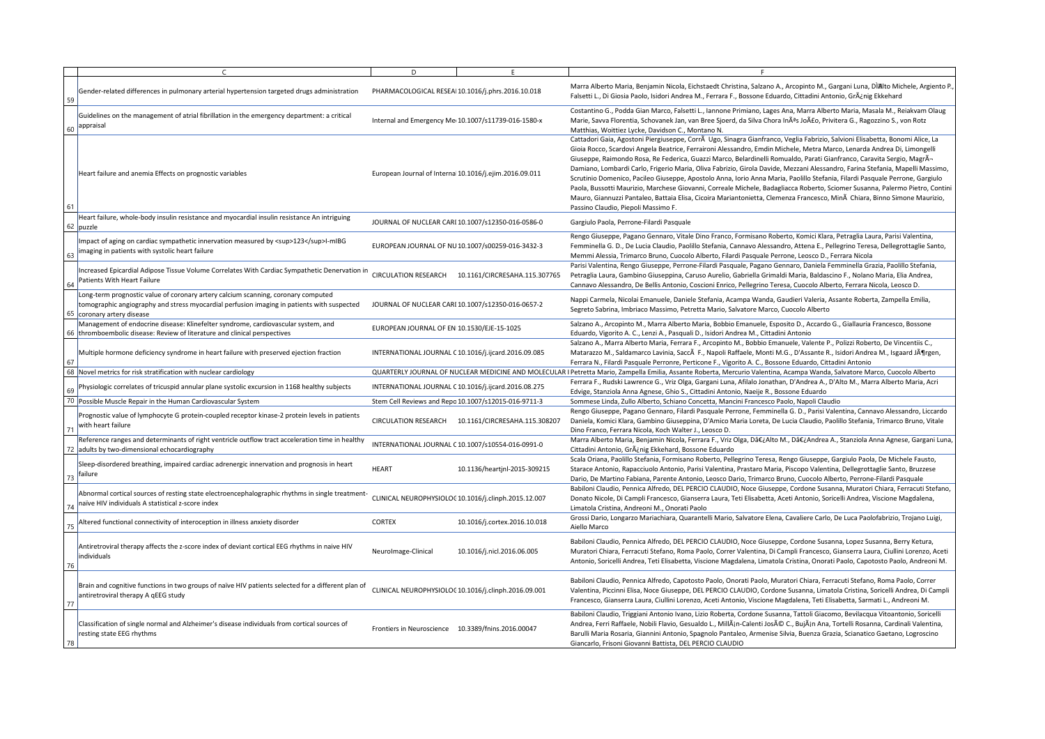|             |                                                                                                                                                                                                               | D                                          | E.                                                     |                                                                                                                                                                                                                                                                                                                                                                                                                                                                                                                              |
|-------------|---------------------------------------------------------------------------------------------------------------------------------------------------------------------------------------------------------------|--------------------------------------------|--------------------------------------------------------|------------------------------------------------------------------------------------------------------------------------------------------------------------------------------------------------------------------------------------------------------------------------------------------------------------------------------------------------------------------------------------------------------------------------------------------------------------------------------------------------------------------------------|
| 59          | Gender-related differences in pulmonary arterial hypertension targeted drugs administration                                                                                                                   |                                            | PHARMACOLOGICAL RESEA 10.1016/j.phrs.2016.10.018       | Marra Alberto Maria, Benjamin Nicola, Eichstaedt Christina, Salza<br>Falsetti L., Di Giosia Paolo, Isidori Andrea M., Ferrara F., Bossone                                                                                                                                                                                                                                                                                                                                                                                    |
| 60          | Guidelines on the management of atrial fibrillation in the emergency department: a critical<br>appraisal                                                                                                      |                                            | Internal and Emergency Me 10.1007/s11739-016-1580-x    | Costantino G., Podda Gian Marco, Falsetti L., Iannone Primiano,<br>Marie, Savva Florentia, Schovanek Jan, van Bree Sjoerd, da Silva<br>Matthias, Woittiez Lycke, Davidson C., Montano N.                                                                                                                                                                                                                                                                                                                                     |
| 61          | Heart failure and anemia Effects on prognostic variables                                                                                                                                                      |                                            | European Journal of Interna 10.1016/j.ejim.2016.09.011 | Cattadori Gaia, Agostoni Piergiuseppe, Corrà Ugo, Sinagra Gianf<br>Gioia Rocco, Scardovi Angela Beatrice, Ferraironi Alessandro, Em<br>Giuseppe, Raimondo Rosa, Re Federica, Guazzi Marco, Belardine<br>Damiano, Lombardi Carlo, Frigerio Maria, Oliva Fabrizio, Girola D<br>Scrutinio Domenico, Pacileo Giuseppe, Apostolo Anna, Iorio Anna<br>Paola, Bussotti Maurizio, Marchese Giovanni, Correale Michele, I<br>Mauro, Giannuzzi Pantaleo, Battaia Elisa, Cicoira Mariantonietta,<br>Passino Claudio, Piepoli Massimo F. |
|             | Heart failure, whole-body insulin resistance and myocardial insulin resistance An intriguing<br>$62$ puzzle                                                                                                   |                                            | JOURNAL OF NUCLEAR CARI 10.1007/s12350-016-0586-0      | Gargiulo Paola, Perrone-Filardi Pasquale                                                                                                                                                                                                                                                                                                                                                                                                                                                                                     |
| 63          | Impact of aging on cardiac sympathetic innervation measured by <sup>123</sup> I-mIBG<br>imaging in patients with systolic heart failure                                                                       |                                            | EUROPEAN JOURNAL OF NU 10.1007/s00259-016-3432-3       | Rengo Giuseppe, Pagano Gennaro, Vitale Dino Franco, Formisano<br>Femminella G. D., De Lucia Claudio, Paolillo Stefania, Cannavo Al<br>Memmi Alessia, Trimarco Bruno, Cuocolo Alberto, Filardi Pasqua                                                                                                                                                                                                                                                                                                                         |
| 64          | Increased Epicardial Adipose Tissue Volume Correlates With Cardiac Sympathetic Denervation in<br>Patients With Heart Failure                                                                                  | <b>CIRCULATION RESEARCH</b>                | 10.1161/CIRCRESAHA.115.307765                          | Parisi Valentina, Rengo Giuseppe, Perrone-Filardi Pasquale, Paga<br>Petraglia Laura, Gambino Giuseppina, Caruso Aurelio, Gabriella (<br>Cannavo Alessandro, De Bellis Antonio, Coscioni Enrico, Pellegrin                                                                                                                                                                                                                                                                                                                    |
|             | Long-term prognostic value of coronary artery calcium scanning, coronary computed<br>tomographic angiography and stress myocardial perfusion imaging in patients with suspected<br>65 coronary artery disease |                                            | JOURNAL OF NUCLEAR CARI 10.1007/s12350-016-0657-2      | Nappi Carmela, Nicolai Emanuele, Daniele Stefania, Acampa War<br>Segreto Sabrina, Imbriaco Massimo, Petretta Mario, Salvatore M                                                                                                                                                                                                                                                                                                                                                                                              |
|             | Management of endocrine disease: Klinefelter syndrome, cardiovascular system, and<br>66   thromboembolic disease: Review of literature and clinical perspectives                                              | EUROPEAN JOURNAL OF EN 10.1530/EJE-15-1025 |                                                        | Salzano A., Arcopinto M., Marra Alberto Maria, Bobbio Emanuele<br>Eduardo, Vigorito A. C., Lenzi A., Pasquali D., Isidori Andrea M., C                                                                                                                                                                                                                                                                                                                                                                                       |
| 67          | Multiple hormone deficiency syndrome in heart failure with preserved ejection fraction                                                                                                                        |                                            | INTERNATIONAL JOURNAL C 10.1016/j.ijcard.2016.09.085   | Salzano A., Marra Alberto Maria, Ferrara F., Arcopinto M., Bobbi<br>Matarazzo M., Saldamarco Lavinia, Saccà F., Napoli Raffaele, Mo<br>Ferrara N., Filardi Pasquale Perronre, Perticone F., Vigorito A. C.,                                                                                                                                                                                                                                                                                                                  |
|             | 68 Novel metrics for risk stratification with nuclear cardiology                                                                                                                                              |                                            |                                                        | QUARTERLY JOURNAL OF NUCLEAR MEDICINE AND MOLECULAR I Petretta Mario, Zampella Emilia, Assante Roberta, Mercurio Vale                                                                                                                                                                                                                                                                                                                                                                                                        |
| 69          | Physiologic correlates of tricuspid annular plane systolic excursion in 1168 healthy subjects                                                                                                                 |                                            | INTERNATIONAL JOURNAL C 10.1016/j.ijcard.2016.08.275   | Ferrara F., Rudski Lawrence G., Vriz Olga, Gargani Luna, Afilalo Jo<br>Edvige, Stanziola Anna Agnese, Ghio S., Cittadini Antonio, Naeije                                                                                                                                                                                                                                                                                                                                                                                     |
|             | 70 Possible Muscle Repair in the Human Cardiovascular System                                                                                                                                                  |                                            | Stem Cell Reviews and Repo 10.1007/s12015-016-9711-3   | Sommese Linda, Zullo Alberto, Schiano Concetta, Mancini France                                                                                                                                                                                                                                                                                                                                                                                                                                                               |
| $7^{\circ}$ | Prognostic value of lymphocyte G protein-coupled receptor kinase-2 protein levels in patients<br>with heart failure                                                                                           | <b>CIRCULATION RESEARCH</b>                | 10.1161/CIRCRESAHA.115.308207                          | Rengo Giuseppe, Pagano Gennaro, Filardi Pasquale Perrone, Fen<br>Daniela, Komici Klara, Gambino Giuseppina, D'Amico Maria Loret<br>Dino Franco, Ferrara Nicola, Koch Walter J., Leosco D.                                                                                                                                                                                                                                                                                                                                    |
| 72          | Reference ranges and determinants of right ventricle outflow tract acceleration time in healthy<br>adults by two-dimensional echocardiography                                                                 |                                            | INTERNATIONAL JOURNAL C 10.1007/s10554-016-0991-0      | Marra Alberto Maria, Benjamin Nicola, Ferrara F., Vriz Olga, Dâ€<br>Cittadini Antonio, Grÿnig Ekkehard, Bossone Eduardo                                                                                                                                                                                                                                                                                                                                                                                                      |
| 73          | Sleep-disordered breathing, impaired cardiac adrenergic innervation and prognosis in heart<br>failure                                                                                                         | <b>HEART</b>                               | 10.1136/heartjnl-2015-309215                           | Scala Oriana, Paolillo Stefania, Formisano Roberto, Pellegrino Tei<br>Starace Antonio, Rapacciuolo Antonio, Parisi Valentina, Prastaro<br>Dario, De Martino Fabiana, Parente Antonio, Leosco Dario, Trima                                                                                                                                                                                                                                                                                                                    |
| 74          | Abnormal cortical sources of resting state electroencephalographic rhythms in single treatment-<br>naïve HIV individuals A statistical z-score index                                                          |                                            | CLINICAL NEUROPHYSIOLOC 10.1016/j.clinph.2015.12.007   | Babiloni Claudio, Pennica Alfredo, DEL PERCIO CLAUDIO, Noce G<br>Donato Nicole, Di Campli Francesco, Gianserra Laura, Teti Elisabe<br>Limatola Cristina, Andreoni M., Onorati Paolo                                                                                                                                                                                                                                                                                                                                          |
| 75          | Altered functional connectivity of interoception in illness anxiety disorder                                                                                                                                  | <b>CORTEX</b>                              | 10.1016/j.cortex.2016.10.018                           | Grossi Dario, Longarzo Mariachiara, Quarantelli Mario, Salvatore<br>Aiello Marco                                                                                                                                                                                                                                                                                                                                                                                                                                             |
| 76          | Antiretroviral therapy affects the z-score index of deviant cortical EEG rhythms in naive HIV<br>individuals                                                                                                  | NeuroImage-Clinical                        | 10.1016/j.nicl.2016.06.005                             | Babiloni Claudio, Pennica Alfredo, DEL PERCIO CLAUDIO, Noce G<br>Muratori Chiara, Ferracuti Stefano, Roma Paolo, Correr Valentina<br>Antonio, Soricelli Andrea, Teti Elisabetta, Viscione Magdalena, Li                                                                                                                                                                                                                                                                                                                      |
| 77          | Brain and cognitive functions in two groups of naïve HIV patients selected for a different plan of<br>antiretroviral therapy A qEEG study                                                                     |                                            | CLINICAL NEUROPHYSIOLOC 10.1016/j.clinph.2016.09.001   | Babiloni Claudio, Pennica Alfredo, Capotosto Paolo, Onorati Paol<br>Valentina, Piccinni Elisa, Noce Giuseppe, DEL PERCIO CLAUDIO, C<br>Francesco, Gianserra Laura, Ciullini Lorenzo, Aceti Antonio, Viscio                                                                                                                                                                                                                                                                                                                   |
| 78          | Classification of single normal and Alzheimer's disease individuals from cortical sources of<br>resting state EEG rhythms                                                                                     | Frontiers in Neuroscience                  | 10.3389/fnins.2016.00047                               | Babiloni Claudio, Triggiani Antonio Ivano, Lizio Roberta, Cordone<br>Andrea, Ferri Raffaele, Nobili Flavio, Gesualdo L., MillÃin-Calenti<br>Barulli Maria Rosaria, Giannini Antonio, Spagnolo Pantaleo, Arme<br>Giancarlo, Frisoni Giovanni Battista, DEL PERCIO CLAUDIO                                                                                                                                                                                                                                                     |
|             |                                                                                                                                                                                                               |                                            |                                                        |                                                                                                                                                                                                                                                                                                                                                                                                                                                                                                                              |

Maria, Benjamin Nicola, Eichstaedt Christina, Salzano A., Arcopinto M., Gargani Luna, DÌAlto Michele, Argiento P iosia Paolo, Isidori Andrea M., Ferrara F., Bossone Eduardo, Cittadini Antonio, Grÿnig Ekkehard

Podda Gian Marco, Falsetti L., Iannone Primiano, Lages Ana, Marra Alberto Maria, Masala M., Reiakvam Olaug orentia, Schovanek Jan, van Bree Sjoerd, da Silva Chora Inês João, Privitera G., Ragozzino S., von Rotz tiez Lycke, Davidson C., Montano N.

Agostoni Piergiuseppe, Corr $\tilde{A}$  Ugo, Sinagra Gianfranco, Veglia Fabrizio, Salvioni Elisabetta, Bonomi Alice, La ardovi Angela Beatrice, Ferraironi Alessandro, Emdin Michele, Metra Marco, Lenarda Andrea Di, Limongelli nondo Rosa, Re Federica, Guazzi Marco, Belardinelli Romualdo, Parati Gianfranco, Caravita Sergio, MagrÃbardi Carlo, Frigerio Maria, Oliva Fabrizio, Girola Davide, Mezzani Alessandro, Farina Stefania, Mapelli Massimo, enico, Pacileo Giuseppe, Apostolo Anna, Iorio Anna Maria, Paolillo Stefania, Filardi Pasquale Perrone, Gargiulo Maurizio, Marchese Giovanni, Correale Michele, Badagliacca Roberto, Sciomer Susanna, Palermo Pietro, Contini zzi Pantaleo, Battaia Elisa, Cicoira Mariantonietta, Clemenza Francesco, Minà Chiara, Binno Simone Maurizio, o, Piepoli Massimo F.

e, Pagano Gennaro, Vitale Dino Franco, Formisano Roberto, Komici Klara, Petraglia Laura, Parisi Valentina, D., De Lucia Claudio, Paolillo Stefania, Cannavo Alessandro, Attena E., Pellegrino Teresa, Dellegrottaglie Santo, , Trimarco Bruno, Cuocolo Alberto, Filardi Pasquale Perrone, Leosco D., Ferrara Nicola

ı, Rengo Giuseppe, Perrone-Filardi Pasquale, Pagano Gennaro, Daniela Femminella Grazia, Paolillo Stefania, , Gambino Giuseppina, Caruso Aurelio, Gabriella Grimaldi Maria, Baldascino F., Nolano Maria, Elia Andrea, andro, De Bellis Antonio, Coscioni Enrico, Pellegrino Teresa, Cuocolo Alberto, Ferrara Nicola, Leosco D.

, Nicolai Emanuele, Daniele Stefania, Acampa Wanda, Gaudieri Valeria, Assante Roberta, Zampella Emilia, a, Imbriaco Massimo, Petretta Mario, Salvatore Marco, Cuocolo Alberto

opinto M., Marra Alberto Maria, Bobbio Emanuele, Esposito D., Accardo G., Giallauria Francesco, Bossone ito A. C., Lenzi A., Pasquali D., Isidori Andrea M., Cittadini Antonio

rra Alberto Maria, Ferrara F., Arcopinto M., Bobbio Emanuele, Valente P., Polizzi Roberto, De Vincentiis C., Saldamarco Lavinia, Saccà F., Napoli Raffaele, Monti M.G., D'Assante R., Isidori Andrea M., Isgaard Jörgen, rdi Pasquale Perronre, Perticone F., Vigorito A. C., Bossone Eduardo, Cittadini Antonio

, Zampella Emilia, Assante Roberta, Mercurio Valentina, Acampa Wanda, Salvatore Marco, Cuocolo Alberto ski Lawrence G., Vriz Olga, Gargani Luna, Afilalo Jonathan, D'Andrea A., D'Alto M., Marra Alberto Maria, Acri la Anna Agnese, Ghio S., Cittadini Antonio, Naeije R., Bossone Eduardo

a, Zullo Alberto, Schiano Concetta, Mancini Francesco Paolo, Napoli Claudio

e, Pagano Gennaro, Filardi Pasquale Perrone, Femminella G. D., Parisi Valentina, Cannavo Alessandro, Liccardo i Klara, Gambino Giuseppina, D'Amico Maria Loreta, De Lucia Claudio, Paolillo Stefania, Trimarco Bruno, Vitale errara Nicola, Koch Walter J., Leosco D.

Maria, Benjamin Nicola, Ferrara F., Vriz Olga, D‿Alto M., D‿Andrea A., Stanziola Anna Agnese, Gargani Luna, io, Grÿnig Ekkehard, Bossone Eduardo

aolillo Stefania, Formisano Roberto, Pellegrino Teresa, Rengo Giuseppe, Gargiulo Paola, De Michele Fausto, o, Rapacciuolo Antonio, Parisi Valentina, Prastaro Maria, Piscopo Valentina, Dellegrottaglie Santo, Bruzzese ino Fabiana, Parente Antonio, Leosco Dario, Trimarco Bruno, Cuocolo Alberto, Perrone-Filardi Pasquale

o, Pennica Alfredo, DEL PERCIO CLAUDIO, Noce Giuseppe, Cordone Susanna, Muratori Chiara, Ferracuti Stefano, Di Campli Francesco, Gianserra Laura, Teti Elisabetta, Aceti Antonio, Soricelli Andrea, Viscione Magdalena, na, Andreoni M., Onorati Paolo

ongarzo Mariachiara, Quarantelli Mario, Salvatore Elena, Cavaliere Carlo, De Luca Paolofabrizio, Trojano Luigi,

o, Pennica Alfredo, DEL PERCIO CLAUDIO, Noce Giuseppe, Cordone Susanna, Lopez Susanna, Berry Ketura, a, Ferracuti Stefano, Roma Paolo, Correr Valentina, Di Campli Francesco, Gianserra Laura, Ciullini Lorenzo, Aceti lli Andrea, Teti Elisabetta, Viscione Magdalena, Limatola Cristina, Onorati Paolo, Capotosto Paolo, Andreoni M.

io, Pennica Alfredo, Capotosto Paolo, Onorati Paolo, Muratori Chiara, Ferracuti Stefano, Roma Paolo, Correr nni Elisa, Noce Giuseppe, DEL PERCIO CLAUDIO, Cordone Susanna, Limatola Cristina, Soricelli Andrea, Di Campli nserra Laura, Ciullini Lorenzo, Aceti Antonio, Viscione Magdalena, Teti Elisabetta, Sarmati L., Andreoni M.

o, Triggiani Antonio Ivano, Lizio Roberta, Cordone Susanna, Tattoli Giacomo, Bevilacqua Vitoantonio, Soricelli affaele, Nobili Flavio, Gesualdo L., Millán-Calenti José C., Buján Ana, Tortelli Rosanna, Cardinali Valentina, osaria, Giannini Antonio, Spagnolo Pantaleo, Armenise Silvia, Buenza Grazia, Scianatico Gaetano, Logroscino ni Giovanni Battista, DEL PERCIO CLAUDIO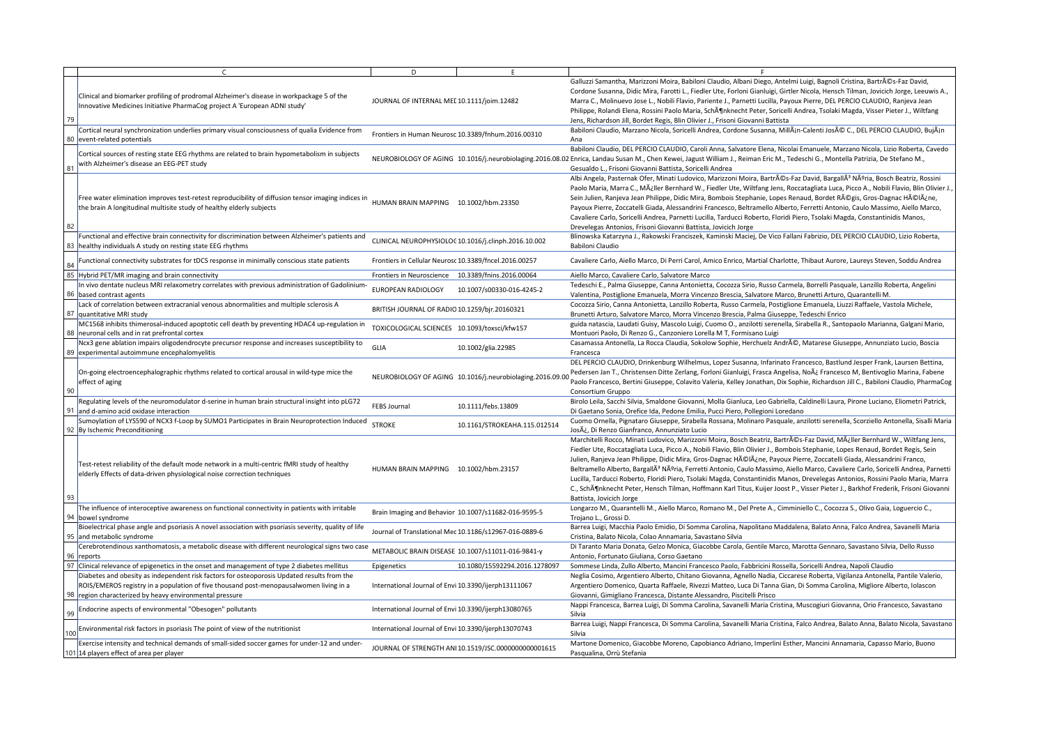|     |                                                                                                                                                                                      | D                                                      | F                                                         |                                                                                                                                                                                                                                                                                                                                                                                                                                                               |
|-----|--------------------------------------------------------------------------------------------------------------------------------------------------------------------------------------|--------------------------------------------------------|-----------------------------------------------------------|---------------------------------------------------------------------------------------------------------------------------------------------------------------------------------------------------------------------------------------------------------------------------------------------------------------------------------------------------------------------------------------------------------------------------------------------------------------|
| 79  | Clinical and biomarker profiling of prodromal Alzheimer's disease in workpackage 5 of the<br>Innovative Medicines Initiative PharmaCog project A 'European ADNI study'               | JOURNAL OF INTERNAL MEL 10.1111/joim.12482             |                                                           | Galluzzi Samantha, Marizzoni Moira, Babiloni Claudio, Albani Die<br>Cordone Susanna, Didic Mira, Farotti L., Fiedler Ute, Forloni Gian<br>Marra C., Molinuevo Jose L., Nobili Flavio, Pariente J., Parnetti Lu<br>Philippe, Rolandi Elena, Rossini Paolo Maria, SchATnknecht Pete<br>Jens, Richardson Jill, Bordet Regis, Blin Olivier J., Frisoni Giovanni                                                                                                   |
|     | Cortical neural synchronization underlies primary visual consciousness of qualia Evidence from<br>80 event-related potentials                                                        |                                                        | Frontiers in Human Neurosc 10.3389/fnhum.2016.00310       | Babiloni Claudio, Marzano Nicola, Soricelli Andrea, Cordone Susa<br>Ana                                                                                                                                                                                                                                                                                                                                                                                       |
| 81  | Cortical sources of resting state EEG rhythms are related to brain hypometabolism in subjects<br>with Alzheimer's disease an EEG-PET study                                           |                                                        |                                                           | Babiloni Claudio, DEL PERCIO CLAUDIO, Caroli Anna, Salvatore El<br>NEUROBIOLOGY OF AGING 10.1016/j.neurobiolaging.2016.08.02 Enrica, Landau Susan M., Chen Kewei, Jagust William J., Reiman I<br>Gesualdo L., Frisoni Giovanni Battista, Soricelli Andrea                                                                                                                                                                                                     |
| 82  | Free water elimination improves test-retest reproducibility of diffusion tensor imaging indices in<br>the brain A longitudinal multisite study of healthy elderly subjects           | HUMAN BRAIN MAPPING 10.1002/hbm.23350                  |                                                           | Albi Angela, Pasternak Ofer, Minati Ludovico, Marizzoni Moira, B<br>Paolo Maria, Marra C., Mÿller Bernhard W., Fiedler Ute, Wiltfar<br>Sein Julien, Ranjeva Jean Philippe, Didic Mira, Bombois Stephanie<br>Payoux Pierre, Zoccatelli Giada, Alessandrini Francesco, Beltrame<br>Cavaliere Carlo, Soricelli Andrea, Parnetti Lucilla, Tarducci Robert<br>Drevelegas Antonios, Frisoni Giovanni Battista, Jovicich Jorge                                       |
|     | Functional and effective brain connectivity for discrimination between Alzheimer's patients and<br>83   healthy individuals A study on resting state EEG rhythms                     |                                                        | CLINICAL NEUROPHYSIOLOC 10.1016/j.clinph.2016.10.002      | Blinowska Katarzyna J., Rakowski Franciszek, Kaminski Maciej, D<br>Babiloni Claudio                                                                                                                                                                                                                                                                                                                                                                           |
| 84  | Functional connectivity substrates for tDCS response in minimally conscious state patients                                                                                           | Frontiers in Cellular Neurosc 10.3389/fncel.2016.00257 |                                                           | Cavaliere Carlo, Aiello Marco, Di Perri Carol, Amico Enrico, Martia                                                                                                                                                                                                                                                                                                                                                                                           |
| 85  | Hybrid PET/MR imaging and brain connectivity                                                                                                                                         | Frontiers in Neuroscience 10.3389/fnins.2016.00064     |                                                           | Aiello Marco, Cavaliere Carlo, Salvatore Marco                                                                                                                                                                                                                                                                                                                                                                                                                |
|     | In vivo dentate nucleus MRI relaxometry correlates with previous administration of Gadolinium-<br>86   based contrast agents                                                         | <b>EUROPEAN RADIOLOGY</b>                              | 10.1007/s00330-016-4245-2                                 | Tedeschi E., Palma Giuseppe, Canna Antonietta, Cocozza Sirio, R<br>Valentina, Postiglione Emanuela, Morra Vincenzo Brescia, Salvat                                                                                                                                                                                                                                                                                                                            |
|     | Lack of correlation between extracranial venous abnormalities and multiple sclerosis A<br>87 quantitative MRI study                                                                  | BRITISH JOURNAL OF RADIO 10.1259/bjr.20160321          |                                                           | Cocozza Sirio, Canna Antonietta, Lanzillo Roberta, Russo Carmela<br>Brunetti Arturo, Salvatore Marco, Morra Vincenzo Brescia, Palma                                                                                                                                                                                                                                                                                                                           |
|     | MC1568 inhibits thimerosal-induced apoptotic cell death by preventing HDAC4 up-regulation in<br>88   neuronal cells and in rat prefrontal cortex                                     | TOXICOLOGICAL SCIENCES 10.1093/toxsci/kfw157           |                                                           | guida natascia, Laudati Guisy, Mascolo Luigi, Cuomo O., anzilotti<br>Montuori Paolo, Di Renzo G., Canzoniero Lorella M T, Formisano                                                                                                                                                                                                                                                                                                                           |
|     | Ncx3 gene ablation impairs oligodendrocyte precursor response and increases susceptibility to<br>89 experimental autoimmune encephalomyelitis                                        | <b>GLIA</b>                                            | 10.1002/glia.22985                                        | Casamassa Antonella, La Rocca Claudia, Sokolow Sophie, Herchu<br>Francesca                                                                                                                                                                                                                                                                                                                                                                                    |
| 90  | On-going electroencephalographic rhythms related to cortical arousal in wild-type mice the<br>effect of aging                                                                        |                                                        | NEUROBIOLOGY OF AGING 10.1016/j.neurobiolaging.2016.09.00 | DEL PERCIO CLAUDIO, Drinkenburg Wilhelmus, Lopez Susanna, II<br>Pedersen Jan T., Christensen Ditte Zerlang, Forloni Gianluigi, Fras<br>Paolo Francesco, Bertini Giuseppe, Colavito Valeria, Kelley Jonatl<br>Consortium Gruppo                                                                                                                                                                                                                                |
| -91 | Regulating levels of the neuromodulator d-serine in human brain structural insight into pLG72<br>and d-amino acid oxidase interaction                                                | FEBS Journal                                           | 10.1111/febs.13809                                        | Birolo Leila, Sacchi Silvia, Smaldone Giovanni, Molla Gianluca, Leo<br>Di Gaetano Sonia, Orefice Ida, Pedone Emilia, Pucci Piero, Pollegi                                                                                                                                                                                                                                                                                                                     |
|     | Sumoylation of LYS590 of NCX3 f-Loop by SUMO1 Participates in Brain Neuroprotection Induced<br>92 By Ischemic Preconditioning                                                        | <b>STROKE</b>                                          | 10.1161/STROKEAHA.115.012514                              | Cuomo Ornella, Pignataro Giuseppe, Sirabella Rossana, Molinaro<br>Josÿ, Di Renzo Gianfranco, Annunziato Lucio                                                                                                                                                                                                                                                                                                                                                 |
| 93  | Test-retest reliability of the default mode network in a multi-centric fMRI study of healthy<br>elderly Effects of data-driven physiological noise correction techniques             | HUMAN BRAIN MAPPING 10.1002/hbm.23157                  |                                                           | Marchitelli Rocco, Minati Ludovico, Marizzoni Moira, Bosch Beat<br>Fiedler Ute, Roccatagliata Luca, Picco A., Nobili Flavio, Blin Olivie<br>Julien, Ranjeva Jean Philippe, Didic Mira, Gros-Dagnac HéIÿne<br>Beltramello Alberto, BargallÃ <sup>3</sup> Núria, Ferretti Antonio, Caulo Ma<br>Lucilla, Tarducci Roberto, Floridi Piero, Tsolaki Magda, Constantir<br>C., SchĶnknecht Peter, Hensch Tilman, Hoffmann Karl Titus, Ku<br>Battista, Jovicich Jorge |
|     | The influence of interoceptive awareness on functional connectivity in patients with irritable<br>94 bowel syndrome                                                                  |                                                        | Brain Imaging and Behavior 10.1007/s11682-016-9595-5      | Longarzo M., Quarantelli M., Aiello Marco, Romano M., Del Preto<br>Trojano L., Grossi D.                                                                                                                                                                                                                                                                                                                                                                      |
|     | Bioelectrical phase angle and psoriasis A novel association with psoriasis severity, quality of life<br>95 and metabolic syndrome                                                    |                                                        | Journal of Translational Mec 10.1186/s12967-016-0889-6    | Barrea Luigi, Macchia Paolo Emidio, Di Somma Carolina, Napolita<br>Cristina, Balato Nicola, Colao Annamaria, Savastano Silvia                                                                                                                                                                                                                                                                                                                                 |
|     | Cerebrotendinous xanthomatosis, a metabolic disease with different neurological signs two case<br>96 reports                                                                         |                                                        | METABOLIC BRAIN DISEASE 10.1007/s11011-016-9841-y         | Di Taranto Maria Donata, Gelzo Monica, Giacobbe Carola, Gentil<br>Antonio, Fortunato Giuliana, Corso Gaetano                                                                                                                                                                                                                                                                                                                                                  |
| 97  | Clinical relevance of epigenetics in the onset and management of type 2 diabetes mellitus                                                                                            | Epigenetics                                            | 10.1080/15592294.2016.1278097                             | Sommese Linda, Zullo Alberto, Mancini Francesco Paolo, Fabbric                                                                                                                                                                                                                                                                                                                                                                                                |
|     | Diabetes and obesity as independent risk factors for osteoporosis Updated results from the<br>ROIS/EMEROS registry in a population of five thousand post-menopausalwomen living in a | International Journal of Envi 10.3390/ijerph13111067   |                                                           | Neglia Cosimo, Argentiero Alberto, Chitano Giovanna, Agnello Na<br>Argentiero Domenico, Quarta Raffaele, Rivezzi Matteo, Luca Di T                                                                                                                                                                                                                                                                                                                            |
| 99  | 98 region characterized by heavy environmental pressure<br>Endocrine aspects of environmental "Obesogen" pollutants                                                                  | International Journal of Envi 10.3390/ijerph13080765   |                                                           | Giovanni, Gimigliano Francesca, Distante Alessandro, Piscitelli Pr<br>Nappi Francesca, Barrea Luigi, Di Somma Carolina, Savanelli Mar<br>Silvia                                                                                                                                                                                                                                                                                                               |
| 100 | Environmental risk factors in psoriasis The point of view of the nutritionist                                                                                                        | International Journal of Envi 10.3390/ijerph13070743   |                                                           | Barrea Luigi, Nappi Francesca, Di Somma Carolina, Savanelli Mar<br>Silvia                                                                                                                                                                                                                                                                                                                                                                                     |
|     | Exercise intensity and technical demands of small-sided soccer games for under-12 and under-<br>101 14 players effect of area per player                                             |                                                        | JOURNAL OF STRENGTH ANI 10.1519/JSC.00000000000001615     | Martone Domenico, Giacobbe Moreno, Capobianco Adriano, Im<br>Pasqualina, Orrù Stefania                                                                                                                                                                                                                                                                                                                                                                        |
|     |                                                                                                                                                                                      |                                                        |                                                           |                                                                                                                                                                                                                                                                                                                                                                                                                                                               |

tha, Marizzoni Moira, Babiloni Claudio, Albani Diego, Antelmi Luigi, Bagnoli Cristina, Bartrés-Faz David, na, Didic Mira, Farotti L., Fiedler Ute, Forloni Gianluigi, Girtler Nicola, Hensch Tilman, Jovicich Jorge, Leeuwis A., nuevo Jose L., Nobili Flavio, Pariente J., Parnetti Lucilla, Payoux Pierre, DEL PERCIO CLAUDIO, Ranjeva Jean di Elena, Rossini Paolo Maria, Schönknecht Peter, Soricelli Andrea, Tsolaki Magda, Visser Pieter J., Wiltfang In Jill, Bordet Regis, Blin Olivier J., Frisoni Giovanni Battista

io, Marzano Nicola, Soricelli Andrea, Cordone Susanna, MillÃin-Calenti José C., DEL PERCIO CLAUDIO, BujÃin -

io, DEL PERCIO CLAUDIO, Caroli Anna, Salvatore Elena, Nicolai Emanuele, Marzano Nicola, Lizio Roberta, Cavedo Susan M., Chen Kewei, Jagust William J., Reiman Eric M., Tedeschi G., Montella Patrizia, De Stefano M., isoni Giovanni Battista, Soricelli Andrea

sternak Ofer, Minati Ludovico, Marizzoni Moira, Bartrés-Faz David, BargallÃ<sup>3</sup> Núria, Bosch Beatriz, Rossini Iarra C., Mÿller Bernhard W., Fiedler Ute, Wiltfang Jens, Roccatagliata Luca, Picco A., Nobili Flavio, Blin Olivier J. ijeva Jean Philippe, Didic Mira, Bombois Stephanie, Lopes Renaud, Bordet Régis, Gros-Dagnac Hélÿne, Zoccatelli Giada, Alessandrini Francesco, Beltramello Alberto, Ferretti Antonio, Caulo Massimo, Aiello Marco, , Soricelli Andrea, Parnetti Lucilla, Tarducci Roberto, Floridi Piero, Tsolaki Magda, Constantinidis Manos, onios, Frisoni Giovanni Battista, Jovicich Jorge

rzyna J., Rakowski Franciszek, Kaminski Maciej, De Vico Fallani Fabrizio, DEL PERCIO CLAUDIO, Lizio Roberta,

, Aiello Marco, Di Perri Carol, Amico Enrico, Martial Charlotte, Thibaut Aurore, Laureys Steven, Soddu Andrea

## avaliere Carlo, Salvatore Marco

lma Giuseppe, Canna Antonietta, Cocozza Sirio, Russo Carmela, Borrelli Pasquale, Lanzillo Roberta, Angelini iglione Emanuela, Morra Vincenzo Brescia, Salvatore Marco, Brunetti Arturo, Quarantelli M.

<sup>c</sup>anna Antonietta, Lanzillo Roberta, Russo Carmela, Postiglione Emanuela, Liuzzi Raffaele, Vastola Michele, , Salvatore Marco, Morra Vincenzo Brescia, Palma Giuseppe, Tedeschi Enrico

Laudati Guisy, Mascolo Luigi, Cuomo O., anzilotti serenella, Sirabella R., Santopaolo Marianna, Galgani Mario, o, Di Renzo G., Canzoniero Lorella M T, Formisano Luigi

tonella, La Rocca Claudia, Sokolow Sophie, Herchuelz André, Matarese Giuseppe, Annunziato Lucio, Boscia

AUDIO, Drinkenburg Wilhelmus, Lopez Susanna, Infarinato Francesco, Bastlund Jesper Frank, Laursen Bettina, ., Christensen Ditte Zerlang, Forloni Gianluigi, Frasca Angelisa, Noÿ Francesco M, Bentivoglio Marina, Fabene co, Bertini Giuseppe, Colavito Valeria, Kelley Jonathan, Dix Sophie, Richardson Jill C., Babiloni Claudio, PharmaCog uppo

cchi Silvia, Smaldone Giovanni, Molla Gianluca, Leo Gabriella, Caldinelli Laura, Pirone Luciano, Eliometri Patrick, iia, Orefice Ida, Pedone Emilia, Pucci Piero, Pollegioni Loredano

, Pignataro Giuseppe, Sirabella Rossana, Molinaro Pasquale, anzilotti serenella, Scorziello Antonella, Sisalli Maria Gianfranco, Annunziato Lucio

co, Minati Ludovico, Marizzoni Moira, Bosch Beatriz, Bartrés-Faz David, Mÿller Bernhard W., Wiltfang Jens, ccatagliata Luca, Picco A., Nobili Flavio, Blin Olivier J., Bombois Stephanie, Lopes Renaud, Bordet Regis, Sein Jean Philippe, Didic Mira, Gros-Dagnac HéIÿne, Payoux Pierre, Zoccatelli Giada, Alessandrini Franco,

erto, BargallÃ<sup>3</sup> Núria, Ferretti Antonio, Caulo Massimo, Aiello Marco, Cavaliere Carlo, Soricelli Andrea, Parnetti ci Roberto, Floridi Piero, Tsolaki Magda, Constantinidis Manos, Drevelegas Antonios, Rossini Paolo Maria, Marra cht Peter, Hensch Tilman, Hoffmann Karl Titus, Kuijer Joost P., Visser Pieter J., Barkhof Frederik, Frisoni Giovanni ch Jorge

uarantelli M., Aiello Marco, Romano M., Del Prete A., Cimminiello C., Cocozza S., Olivo Gaia, Loguercio C., ssi D.

lacchia Paolo Emidio, Di Somma Carolina, Napolitano Maddalena, Balato Anna, Falco Andrea, Savanelli Maria Nicola, Colao Annamaria, Savastano Silvia

ia Donata, Gelzo Monica, Giacobbe Carola, Gentile Marco, Marotta Gennaro, Savastano Silvia, Dello Russo hato Giuliana, Corso Gaetano

a, Zullo Alberto, Mancini Francesco Paolo, Fabbricini Rossella, Soricelli Andrea, Napoli Claudio

Argentiero Alberto, Chitano Giovanna, Agnello Nadia, Ciccarese Roberta, Vigilanza Antonella, Pantile Valerio, nenico, Quarta Raffaele, Rivezzi Matteo, Luca Di Tanna Gian, Di Somma Carolina, Migliore Alberto, Iolascon gliano Francesca, Distante Alessandro, Piscitelli Prisco

ca, Barrea Luigi, Di Somma Carolina, Savanelli Maria Cristina, Muscogiuri Giovanna, Orio Francesco, Savastano

appi Francesca, Di Somma Carolina, Savanelli Maria Cristina, Falco Andrea, Balato Anna, Balato Nicola, Savastanc

nico, Giacobbe Moreno, Capobianco Adriano, Imperlini Esther, Mancini Annamaria, Capasso Mario, Buono ù Stefania